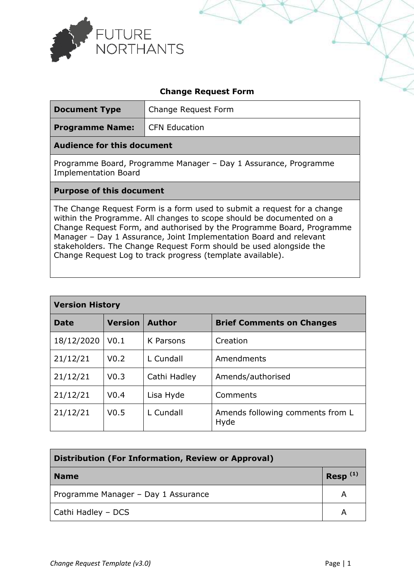

| <b>Change Request Form</b>                                |                  |                      |                                                                                                                                                                                                                                                                                                                                                                                                                                    |               |  |
|-----------------------------------------------------------|------------------|----------------------|------------------------------------------------------------------------------------------------------------------------------------------------------------------------------------------------------------------------------------------------------------------------------------------------------------------------------------------------------------------------------------------------------------------------------------|---------------|--|
| <b>Document Type</b>                                      |                  | Change Request Form  |                                                                                                                                                                                                                                                                                                                                                                                                                                    |               |  |
| <b>Programme Name:</b>                                    |                  | <b>CFN Education</b> |                                                                                                                                                                                                                                                                                                                                                                                                                                    |               |  |
| <b>Audience for this document</b>                         |                  |                      |                                                                                                                                                                                                                                                                                                                                                                                                                                    |               |  |
| <b>Implementation Board</b>                               |                  |                      | Programme Board, Programme Manager - Day 1 Assurance, Programme                                                                                                                                                                                                                                                                                                                                                                    |               |  |
| <b>Purpose of this document</b>                           |                  |                      |                                                                                                                                                                                                                                                                                                                                                                                                                                    |               |  |
|                                                           |                  |                      | The Change Request Form is a form used to submit a request for a change<br>within the Programme. All changes to scope should be documented on a<br>Change Request Form, and authorised by the Programme Board, Programme<br>Manager - Day 1 Assurance, Joint Implementation Board and relevant<br>stakeholders. The Change Request Form should be used alongside the<br>Change Request Log to track progress (template available). |               |  |
| <b>Version History</b>                                    |                  |                      |                                                                                                                                                                                                                                                                                                                                                                                                                                    |               |  |
| <b>Date</b>                                               | <b>Version</b>   | <b>Author</b>        | <b>Brief Comments on Changes</b>                                                                                                                                                                                                                                                                                                                                                                                                   |               |  |
| 18/12/2020                                                | V <sub>0.1</sub> | K Parsons            | Creation                                                                                                                                                                                                                                                                                                                                                                                                                           |               |  |
| 21/12/21                                                  | V <sub>0.2</sub> | L Cundall            | Amendments                                                                                                                                                                                                                                                                                                                                                                                                                         |               |  |
| 21/12/21                                                  | V <sub>0.3</sub> | Cathi Hadley         | Amends/authorised                                                                                                                                                                                                                                                                                                                                                                                                                  |               |  |
| 21/12/21                                                  | V <sub>0.4</sub> | Lisa Hyde            | Comments                                                                                                                                                                                                                                                                                                                                                                                                                           |               |  |
| 21/12/21                                                  | V <sub>0.5</sub> | L Cundall            | Amends following comments from L<br>Hyde                                                                                                                                                                                                                                                                                                                                                                                           |               |  |
|                                                           |                  |                      |                                                                                                                                                                                                                                                                                                                                                                                                                                    |               |  |
| <b>Distribution (For Information, Review or Approval)</b> |                  |                      |                                                                                                                                                                                                                                                                                                                                                                                                                                    |               |  |
| <b>Name</b>                                               |                  |                      |                                                                                                                                                                                                                                                                                                                                                                                                                                    | Resp $^{(1)}$ |  |
| Programme Manager - Day 1 Assurance                       |                  |                      | A                                                                                                                                                                                                                                                                                                                                                                                                                                  |               |  |
| Cathi Hadley - DCS                                        |                  |                      | A                                                                                                                                                                                                                                                                                                                                                                                                                                  |               |  |
|                                                           |                  |                      |                                                                                                                                                                                                                                                                                                                                                                                                                                    |               |  |
| Change Request Template (v3.0)                            |                  |                      |                                                                                                                                                                                                                                                                                                                                                                                                                                    | Page $ 1$     |  |

| <b>Version History</b> |                  |               |                                          |  |
|------------------------|------------------|---------------|------------------------------------------|--|
| Date                   | <b>Version</b>   | <b>Author</b> | <b>Brief Comments on Changes</b>         |  |
| 18/12/2020             | V <sub>0.1</sub> | K Parsons     | Creation                                 |  |
| 21/12/21               | V <sub>0.2</sub> | L Cundall     | Amendments                               |  |
| 21/12/21               | V <sub>0.3</sub> | Cathi Hadley  | Amends/authorised                        |  |
| 21/12/21               | V <sub>0.4</sub> | Lisa Hyde     | Comments                                 |  |
| 21/12/21               | V <sub>0.5</sub> | L Cundall     | Amends following comments from L<br>Hyde |  |

| <b>Distribution (For Information, Review or Approval)</b> |              |  |
|-----------------------------------------------------------|--------------|--|
| <b>Name</b>                                               | $Resp^{(1)}$ |  |
| Programme Manager - Day 1 Assurance                       |              |  |
| Cathi Hadley - DCS                                        |              |  |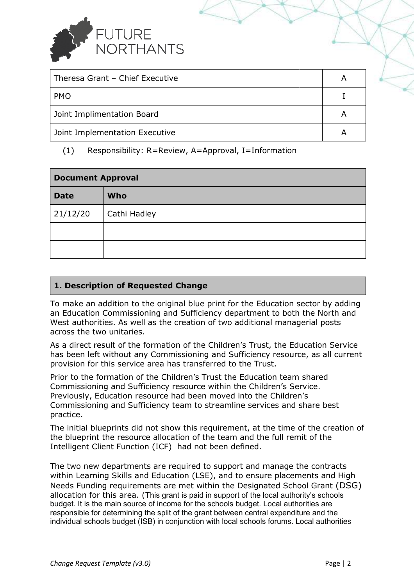

| Theresa Grant - Chief Executive |  |
|---------------------------------|--|
| <b>PMO</b>                      |  |
| Joint Implimentation Board      |  |
| Joint Implementation Executive  |  |

## (1) Responsibility: R=Review, A=Approval, I=Information

| (1)<br>Responsibility: R=Review, A=Approval, I=Information |                                                                                                                                                                                                                                                                                                                                                                                                                                                                                                                                                                                                                         |           |  |
|------------------------------------------------------------|-------------------------------------------------------------------------------------------------------------------------------------------------------------------------------------------------------------------------------------------------------------------------------------------------------------------------------------------------------------------------------------------------------------------------------------------------------------------------------------------------------------------------------------------------------------------------------------------------------------------------|-----------|--|
| <b>Document Approval</b>                                   |                                                                                                                                                                                                                                                                                                                                                                                                                                                                                                                                                                                                                         |           |  |
| <b>Date</b>                                                | Who                                                                                                                                                                                                                                                                                                                                                                                                                                                                                                                                                                                                                     |           |  |
| 21/12/20                                                   | Cathi Hadley                                                                                                                                                                                                                                                                                                                                                                                                                                                                                                                                                                                                            |           |  |
|                                                            |                                                                                                                                                                                                                                                                                                                                                                                                                                                                                                                                                                                                                         |           |  |
|                                                            |                                                                                                                                                                                                                                                                                                                                                                                                                                                                                                                                                                                                                         |           |  |
|                                                            |                                                                                                                                                                                                                                                                                                                                                                                                                                                                                                                                                                                                                         |           |  |
|                                                            | 1. Description of Requested Change                                                                                                                                                                                                                                                                                                                                                                                                                                                                                                                                                                                      |           |  |
| across the two unitaries.                                  | To make an addition to the original blue print for the Education sector by adding<br>an Education Commissioning and Sufficiency department to both the North and<br>West authorities. As well as the creation of two additional managerial posts                                                                                                                                                                                                                                                                                                                                                                        |           |  |
|                                                            | As a direct result of the formation of the Children's Trust, the Education Service<br>has been left without any Commissioning and Sufficiency resource, as all current<br>provision for this service area has transferred to the Trust.                                                                                                                                                                                                                                                                                                                                                                                 |           |  |
| practice.                                                  | Prior to the formation of the Children's Trust the Education team shared<br>Commissioning and Sufficiency resource within the Children's Service.<br>Previously, Education resource had been moved into the Children's<br>Commissioning and Sufficiency team to streamline services and share best                                                                                                                                                                                                                                                                                                                      |           |  |
|                                                            | The initial blueprints did not show this requirement, at the time of the creation of<br>the blueprint the resource allocation of the team and the full remit of the<br>Intelligent Client Function (ICF) had not been defined.                                                                                                                                                                                                                                                                                                                                                                                          |           |  |
|                                                            | The two new departments are required to support and manage the contracts<br>within Learning Skills and Education (LSE), and to ensure placements and High<br>Needs Funding requirements are met within the Designated School Grant (DSG)<br>allocation for this area. (This grant is paid in support of the local authority's schools<br>budget. It is the main source of income for the schools budget. Local authorities are<br>responsible for determining the split of the grant between central expenditure and the<br>individual schools budget (ISB) in conjunction with local schools forums. Local authorities |           |  |
| Change Request Template (v3.0)                             |                                                                                                                                                                                                                                                                                                                                                                                                                                                                                                                                                                                                                         | Page $ 2$ |  |

## **1. Description of Requested Change**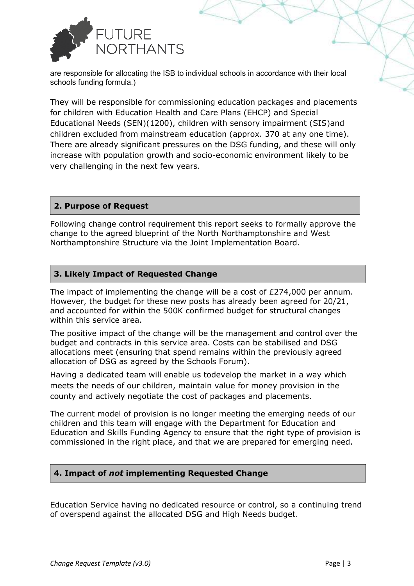

are responsible for allocating the ISB to individual schools in accordance with their local schools funding formula.)

They will be responsible for commissioning education packages and placements for children with Education Health and Care Plans (EHCP) and Special for children with Education Health and Care Plans (EHCP) and Special<br>Educational Needs (SEN)(1200), children with sensory impairment (SIS)and children excluded from mainstream education (approx. 370 at any one time). There are already significant pressures on the DSG funding, and these will only increase with population growth and socio-economic environment likely to be very challenging in the next few years. the ISB to individual schools in accordance with their local<br>or commissioning education packages and placemen<br>
In Health and Care Plans (EHCP) and Special<br>
(2000), children with sensory impairment (SIS)and<br>
ainstream educa t pressures on the DSG funding, and these will only<br>bwth and socio-economic environment likely to be<br>: few years.<br>quirement this report seeks to formally approve the

## **2. Purpose of Request**

Following change control requirement this report seeks to formally approve change to the agreed blueprint of the North Northamptonshire and West Northamptonshire Structure via the Joint Implementation Board.

## **3. Likely Impact of Requested Change .**

The impact of implementing the change will be a cost of £274,000 per annum. However, the budget for these new posts has already been agreed for 20/21, and accounted for within the 500K confirmed budget for structural changes within this service area.

The positive impact of the change will be the management and control over the budget and contracts in this service area. Costs can be stabilised and DSG allocations meet (ensuring that spend remains within the previously agreed allocation of DSG as agreed by the Schools Forum).

Having a dedicated team will enable us todevelop the market in a way which meets the needs of our children, maintain value for money provision in the county and actively negotiate the cost of packages and placements e us todevelop the market in a wa<br>aintain value for money provision<br>ost of packages and placements.

The current model of provision is no longer meeting the emerging needs of our The current model of provision is no longer meeting the emerging needs of<br>children and this team will engage with the Department for Education and Education and Skills Funding Agency to ensure that the right type of provision is commissioned in the right place, and that we are prepared for emerging need.

# **4. Impact of** *not* **implementing Requested Change**

commissioned in the right place, and that we are prepared for emerging need.<br> **4. Impact of** *not* **implementing Requested Change**<br>
Education Service having no dedicated resource or control, so a continuing trend of overspend against the allocated DSG and High Needs budget.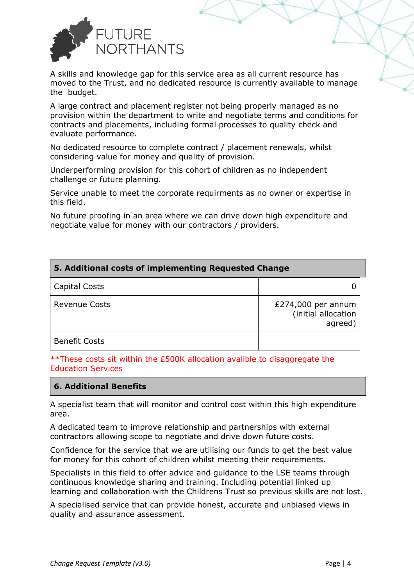

A skills and knowledge gap for this service area as all current resource has moved to the Trust, and no dedicated resource is currently available to manage the budget.

| A skills and knowledge gap for this service area as all current resource has<br>moved to the Trust, and no dedicated resource is currently available to manage<br>the budget.                                                                                     |                                                      |
|-------------------------------------------------------------------------------------------------------------------------------------------------------------------------------------------------------------------------------------------------------------------|------------------------------------------------------|
| A large contract and placement register not being properly managed as no<br>provision within the department to write and negotiate terms and conditions for<br>contracts and placements, including formal processes to quality check and<br>evaluate performance. |                                                      |
| No dedicated resource to complete contract / placement renewals, whilst<br>considering value for money and quality of provision.                                                                                                                                  |                                                      |
| Underperforming provision for this cohort of children as no independent<br>challenge or future planning.                                                                                                                                                          |                                                      |
| Service unable to meet the corporate requirments as no owner or expertise in<br>this field.                                                                                                                                                                       |                                                      |
| No future proofing in an area where we can drive down high expenditure and<br>negotiate value for money with our contractors / providers.                                                                                                                         |                                                      |
| 5. Additional costs of implementing Requested Change                                                                                                                                                                                                              |                                                      |
| Capital Costs                                                                                                                                                                                                                                                     | 0                                                    |
| <b>Revenue Costs</b>                                                                                                                                                                                                                                              | £274,000 per annum<br>(initial allocation<br>agreed) |
| <b>Benefit Costs</b>                                                                                                                                                                                                                                              |                                                      |
| **These costs sit within the £500K allocation avalible to disaggregate the<br><b>Education Services</b>                                                                                                                                                           |                                                      |
| <b>6. Additional Benefits</b>                                                                                                                                                                                                                                     |                                                      |
| A specialist team that will monitor and control cost within this high expenditure<br>area.                                                                                                                                                                        |                                                      |
| A dedicated team to improve relationship and partnerships with external<br>contractors allowing scope to negotiate and drive down future costs.                                                                                                                   |                                                      |
| Confidence for the service that we are utilising our funds to get the best value<br>for money for this cohort of children whilst meeting their requirements.                                                                                                      |                                                      |
| Specialists in this field to offer advice and guidance to the LSE teams through<br>continuous knowledge sharing and training. Including potential linked up<br>learning and collaboration with the Childrens Trust so previous skills are not lost.               |                                                      |
| A specialised service that can provide honest, accurate and unbiased views in<br>quality and assurance assessment.                                                                                                                                                |                                                      |
| Change Request Template (v3.0)                                                                                                                                                                                                                                    | Page $ 4$                                            |

#### **6. Additional Benefits**